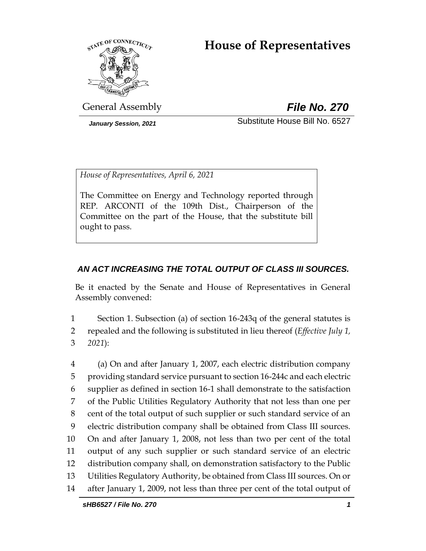# **House of Representatives**



General Assembly *File No. 270*

*January Session, 2021* Substitute House Bill No. 6527

*House of Representatives, April 6, 2021*

The Committee on Energy and Technology reported through REP. ARCONTI of the 109th Dist., Chairperson of the Committee on the part of the House, that the substitute bill ought to pass.

## *AN ACT INCREASING THE TOTAL OUTPUT OF CLASS III SOURCES.*

Be it enacted by the Senate and House of Representatives in General Assembly convened:

1 Section 1. Subsection (a) of section 16-243q of the general statutes is 2 repealed and the following is substituted in lieu thereof (*Effective July 1,*  3 *2021*):

 (a) On and after January 1, 2007, each electric distribution company providing standard service pursuant to section 16-244c and each electric supplier as defined in section 16-1 shall demonstrate to the satisfaction of the Public Utilities Regulatory Authority that not less than one per cent of the total output of such supplier or such standard service of an electric distribution company shall be obtained from Class III sources. On and after January 1, 2008, not less than two per cent of the total output of any such supplier or such standard service of an electric distribution company shall, on demonstration satisfactory to the Public Utilities Regulatory Authority, be obtained from Class III sources. On or after January 1, 2009, not less than three per cent of the total output of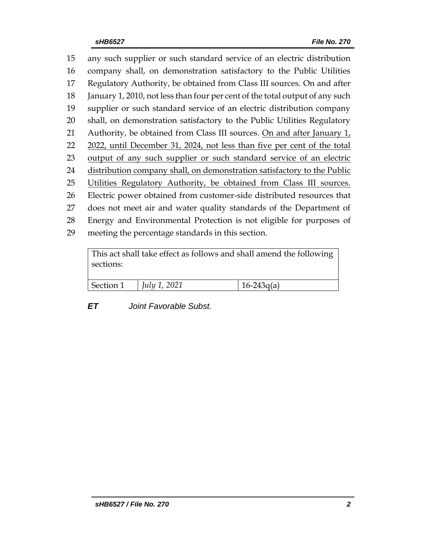any such supplier or such standard service of an electric distribution company shall, on demonstration satisfactory to the Public Utilities Regulatory Authority, be obtained from Class III sources. On and after January 1, 2010, not less than four per cent of the total output of any such supplier or such standard service of an electric distribution company shall, on demonstration satisfactory to the Public Utilities Regulatory 21 Authority, be obtained from Class III sources. On and after January  $1<sub>L</sub>$  2022, until December 31, 2024, not less than five per cent of the total 23 output of any such supplier or such standard service of an electric distribution company shall, on demonstration satisfactory to the Public 25 Utilities Regulatory Authority, be obtained from Class III sources. Electric power obtained from customer-side distributed resources that does not meet air and water quality standards of the Department of Energy and Environmental Protection is not eligible for purposes of meeting the percentage standards in this section.

This act shall take effect as follows and shall amend the following sections:

| Section 1 | $ $ <i>July 1, 2021</i> | $16 - 243g(a)$ |
|-----------|-------------------------|----------------|
|           |                         |                |

*ET Joint Favorable Subst.*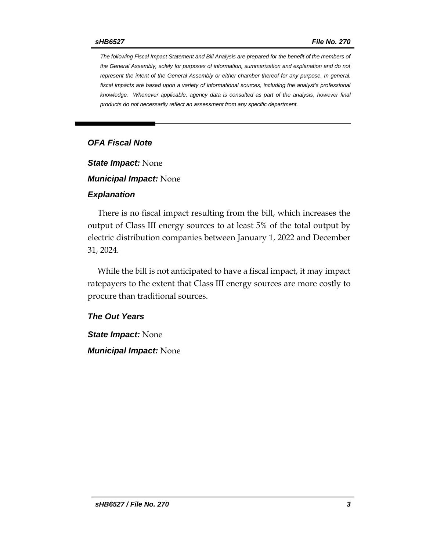*The following Fiscal Impact Statement and Bill Analysis are prepared for the benefit of the members of the General Assembly, solely for purposes of information, summarization and explanation and do not represent the intent of the General Assembly or either chamber thereof for any purpose. In general,*  fiscal impacts are based upon a variety of informational sources, including the analyst's professional *knowledge. Whenever applicable, agency data is consulted as part of the analysis, however final products do not necessarily reflect an assessment from any specific department.*

### *OFA Fiscal Note*

*State Impact:* None

*Municipal Impact:* None

#### *Explanation*

There is no fiscal impact resulting from the bill, which increases the output of Class III energy sources to at least 5% of the total output by electric distribution companies between January 1, 2022 and December 31, 2024.

While the bill is not anticipated to have a fiscal impact, it may impact ratepayers to the extent that Class III energy sources are more costly to procure than traditional sources.

#### *The Out Years*

*State Impact:* None *Municipal Impact:* None